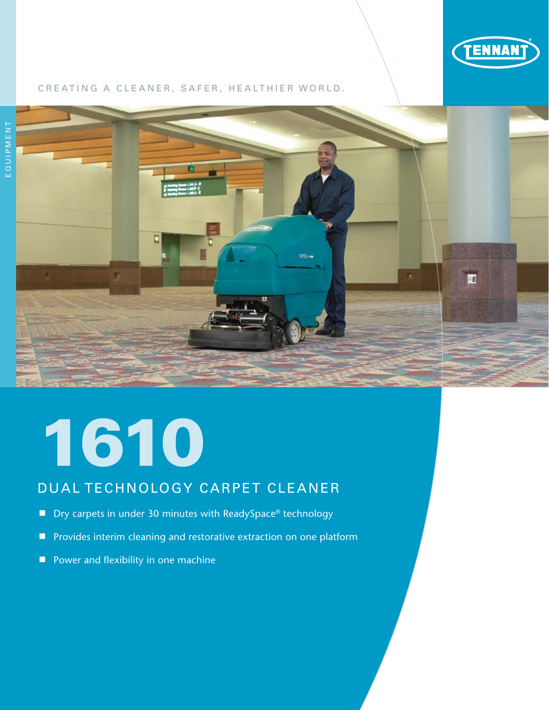

### CREATING A CLEANER, SAFER, HEALTHIER WORLD.



## 1610

## DUAL TECHNOLOGY CARPET CLEANER

- Dry carpets in under 30 minutes with ReadySpace® technology
- **P** Provides interim cleaning and restorative extraction on one platform
- **Power and flexibility in one machine**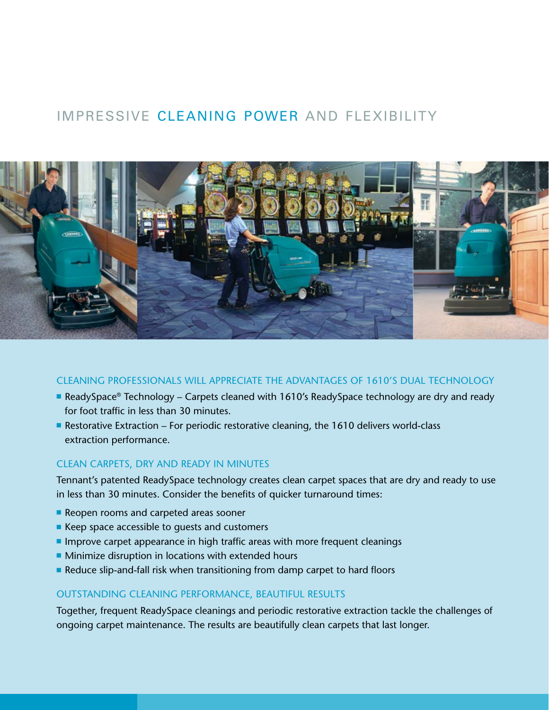## IMPRESSIVE CLEANING POWER AND FLEXIBILITY



### CLEANING PROFESSIONALS WILL APPRECIATE THE ADVANTAGES OF 1610'S DUAL TECHNOLOGY

- ReadySpace® Technology Carpets cleaned with 1610's ReadySpace technology are dry and ready for foot traffic in less than 30 minutes.
- Restorative Extraction For periodic restorative cleaning, the 1610 delivers world-class extraction performance.

### CLEAN CARPETS, DRY AND READY IN MINUTES

Tennant's patented ReadySpace technology creates clean carpet spaces that are dry and ready to use in less than 30 minutes. Consider the benefits of quicker turnaround times:

- Reopen rooms and carpeted areas sooner
- $\blacksquare$  Keep space accessible to guests and customers
- $\blacksquare$  Improve carpet appearance in high traffic areas with more frequent cleanings
- $\blacksquare$  Minimize disruption in locations with extended hours
- Reduce slip-and-fall risk when transitioning from damp carpet to hard floors

### OUTSTANDING CLEANING PERFORMANCE, BEAUTIFUL RESULTS

Together, frequent ReadySpace cleanings and periodic restorative extraction tackle the challenges of ongoing carpet maintenance. The results are beautifully clean carpets that last longer.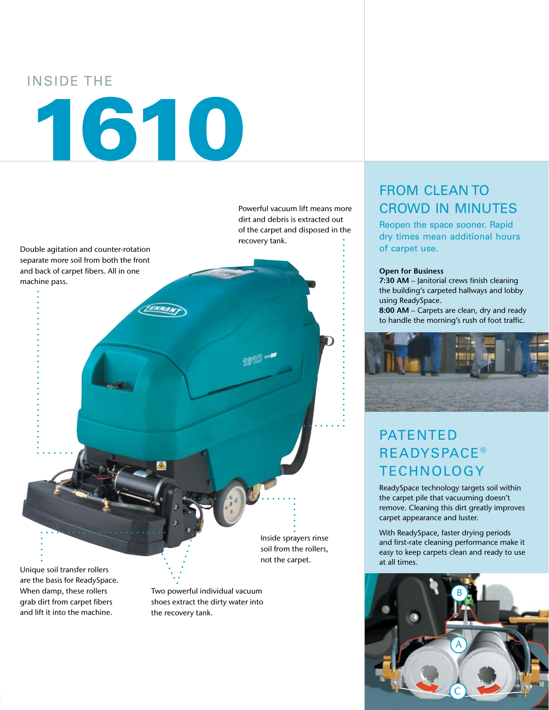### INSIDE THE

# 1610

dirt and debris is extracted out of the carpet and disposed in the recovery tank.

Powerful vacuum lift means more

Double agitation and counter-rotation separate more soil from both the front and back of carpet fibers. All in one machine pass.

> Inside sprayers rinse soil from the rollers, not the carpet.

Unique soil transfer rollers are the basis for ReadySpace. When damp, these rollers grab dirt from carpet fibers and lift it into the machine.

Two powerful individual vacuum shoes extract the dirty water into the recovery tank.

## FROM CLEAN TO CROWD IN MINUTES

Reopen the space sooner. Rapid dry times mean additional hours of carpet use.

### **Open for Business**

**7:30 AM** – Janitorial crews finish cleaning the building's carpeted hallways and lobby using ReadySpace.

**8:00 AM** – Carpets are clean, dry and ready to handle the morning's rush of foot traffic.



## PATENTED **READYSPACE® TECHNOLOGY**

ReadySpace technology targets soil within the carpet pile that vacuuming doesn't remove. Cleaning this dirt greatly improves carpet appearance and luster.

With ReadySpace, faster drying periods and first-rate cleaning performance make it easy to keep carpets clean and ready to use at all times.